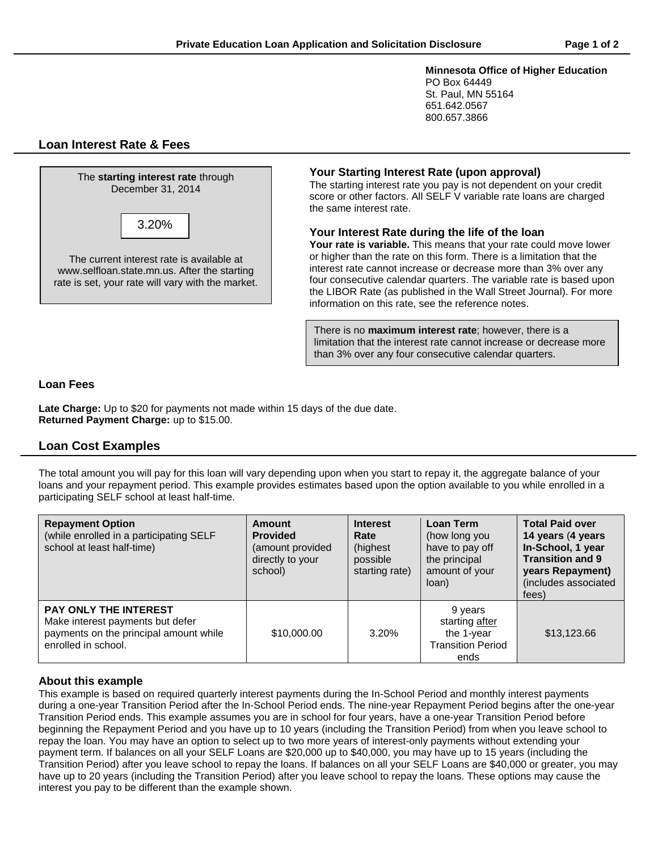**Minnesota Office of Higher Education** PO Box 64449 St. Paul, MN 55164 651.642.0567

# **Loan Interest Rate & Fees**



# **Your Starting Interest Rate (upon approval)**

The starting interest rate you pay is not dependent on your credit score or other factors. All SELF V variable rate loans are charged the same interest rate.

800.657.3866

#### **Your Interest Rate during the life of the loan**

**Your rate is variable.** This means that your rate could move lower or higher than the rate on this form. There is a limitation that the interest rate cannot increase or decrease more than 3% over any four consecutive calendar quarters. The variable rate is based upon the LIBOR Rate (as published in the Wall Street Journal). For more information on this rate, see the reference notes.

There is no **maximum interest rate**; however, there is a limitation that the interest rate cannot increase or decrease more than 3% over any four consecutive calendar quarters.

## **Loan Fees**

**Late Charge:** Up to \$20 for payments not made within 15 days of the due date. **Returned Payment Charge:** up to \$15.00.

# **Loan Cost Examples**

The total amount you will pay for this loan will vary depending upon when you start to repay it, the aggregate balance of your loans and your repayment period. This example provides estimates based upon the option available to you while enrolled in a participating SELF school at least half-time.

| <b>Repayment Option</b><br>(while enrolled in a participating SELF<br>school at least half-time)                                  | Amount<br><b>Provided</b><br>(amount provided<br>directly to your<br>school) | <b>Interest</b><br>Rate<br>(highest)<br>possible<br>starting rate) | <b>Loan Term</b><br>(how long you<br>have to pay off<br>the principal<br>amount of your<br>loan) | <b>Total Paid over</b><br>14 years (4 years<br>In-School, 1 year<br><b>Transition and 9</b><br>years Repayment)<br>(includes associated<br>fees) |
|-----------------------------------------------------------------------------------------------------------------------------------|------------------------------------------------------------------------------|--------------------------------------------------------------------|--------------------------------------------------------------------------------------------------|--------------------------------------------------------------------------------------------------------------------------------------------------|
| <b>PAY ONLY THE INTEREST</b><br>Make interest payments but defer<br>payments on the principal amount while<br>enrolled in school. | \$10,000.00                                                                  | 3.20%                                                              | 9 years<br>starting after<br>the 1-year<br><b>Transition Period</b><br>ends                      | \$13,123.66                                                                                                                                      |

## **About this example**

This example is based on required quarterly interest payments during the In-School Period and monthly interest payments during a one-year Transition Period after the In-School Period ends. The nine-year Repayment Period begins after the one-year Transition Period ends. This example assumes you are in school for four years, have a one-year Transition Period before beginning the Repayment Period and you have up to 10 years (including the Transition Period) from when you leave school to repay the loan. You may have an option to select up to two more years of interest-only payments without extending your payment term. If balances on all your SELF Loans are \$20,000 up to \$40,000, you may have up to 15 years (including the Transition Period) after you leave school to repay the loans. If balances on all your SELF Loans are \$40,000 or greater, you may have up to 20 years (including the Transition Period) after you leave school to repay the loans. These options may cause the interest you pay to be different than the example shown.